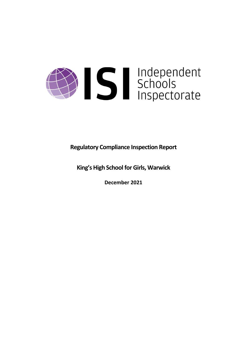# Solutions

**Regulatory Compliance Inspection Report**

**King's High School for Girls, Warwick**

**December 2021**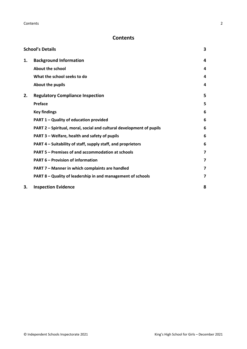# **Contents**

| <b>School's Details</b> |                                                                      | 3 |
|-------------------------|----------------------------------------------------------------------|---|
| 1.                      | <b>Background Information</b>                                        | 4 |
|                         | About the school                                                     | 4 |
|                         | What the school seeks to do                                          | 4 |
|                         | About the pupils                                                     | 4 |
| 2.                      | <b>Regulatory Compliance Inspection</b>                              | 5 |
|                         | <b>Preface</b>                                                       | 5 |
|                         | <b>Key findings</b>                                                  | 6 |
|                         | PART 1 - Quality of education provided                               | 6 |
|                         | PART 2 - Spiritual, moral, social and cultural development of pupils | 6 |
|                         | PART 3 – Welfare, health and safety of pupils                        | 6 |
|                         | PART 4 – Suitability of staff, supply staff, and proprietors         | 6 |
|                         | <b>PART 5 - Premises of and accommodation at schools</b>             | 7 |
|                         | <b>PART 6 - Provision of information</b>                             | 7 |
|                         | PART 7 - Manner in which complaints are handled                      | 7 |
|                         | PART 8 - Quality of leadership in and management of schools          | 7 |
| 3.                      | <b>Inspection Evidence</b>                                           | 8 |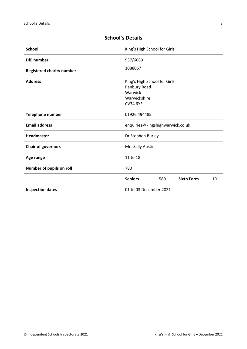| <b>School</b>                                            |                            | King's High School for Girls                                        |                   |     |  |
|----------------------------------------------------------|----------------------------|---------------------------------------------------------------------|-------------------|-----|--|
| <b>DfE</b> number                                        | 937/6089                   |                                                                     |                   |     |  |
| <b>Registered charity number</b>                         | 1088057                    |                                                                     |                   |     |  |
| <b>Address</b>                                           | Warwick<br><b>CV34 6YE</b> | King's High School for Girls<br><b>Banbury Road</b><br>Warwickshire |                   |     |  |
| Telephone number                                         |                            | 01926 494485                                                        |                   |     |  |
| <b>Email address</b><br>enquiries@kingshighwarwick.co.uk |                            |                                                                     |                   |     |  |
| Headmaster                                               |                            | Dr Stephen Burley                                                   |                   |     |  |
| <b>Chair of governors</b>                                |                            | Mrs Sally Austin                                                    |                   |     |  |
| Age range                                                | 11 to 18                   |                                                                     |                   |     |  |
| Number of pupils on roll                                 | 780                        |                                                                     |                   |     |  |
|                                                          | <b>Seniors</b>             | 589                                                                 | <b>Sixth Form</b> | 191 |  |
| <b>Inspection dates</b>                                  |                            | 01 to 03 December 2021                                              |                   |     |  |

# <span id="page-2-0"></span>**School's Details**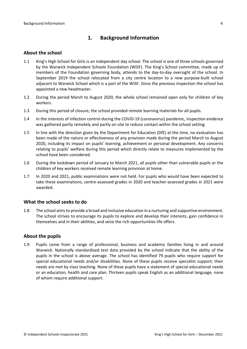# <span id="page-3-0"></span>**1. Background Information**

#### <span id="page-3-1"></span>**About the school**

- 1.1 King's High School for Girls is an independent day school. The school is one of three schools governed by the Warwick Independent Schools Foundation (WISF). The King's School committee, made up of members of the Foundation governing body, attends to the day-to-day oversight of the school. In September 2019 the school relocated from a city centre location to a new purpose-built school adjacent to Warwick School which is a part of the WISF. Since the previous inspection the school has appointed a new headmaster.
- 1.2 During the period March to August 2020, the whole school remained open only for children of key workers.
- 1.3 During this period of closure, the school provided remote learning materials for all pupils.
- 1.4 In the interests of infection control during the COVID-19 (coronavirus) pandemic, inspection evidence was gathered partly remotely and partly on site to reduce contact within the school setting.
- 1.5 In line with the direction given by the Department for Education (DfE) at the time, no evaluation has been made of the nature or effectiveness of any provision made during the period March to August 2020, including its impact on pupils' learning, achievement or personal development. Any concerns relating to pupils' welfare during this period which directly relate to measures implemented by the school have been considered.
- 1.6 During the lockdown period of January to March 2021, all pupils other than vulnerable pupils or the children of key workers received remote learning provision at home.
- 1.7 In 2020 and 2021, public examinations were not held. For pupils who would have been expected to take these examinations, centre-assessed grades in 2020 and teacher-assessed grades in 2021 were awarded.

#### <span id="page-3-2"></span>**What the school seeks to do**

1.8 The school aimsto provide a broad and inclusive education in a nurturing and supportive environment. The school strives to encourage its pupils to explore and develop their interests, gain confidence in themselves and in their abilities, and seize the rich opportunities life offers.

#### <span id="page-3-3"></span>**About the pupils**

1.9 Pupils come from a range of professional, business and academic families living in and around Warwick. Nationally standardised test data provided by the school indicate that the ability of the pupils in the school is above average. The school has identified 79 pupils who require support for special educational needs and/or disabilities. None of these pupils receive specialist support; their needs are met by class teaching. None of these pupils have a statement of special educational needs or an education, health and care plan. Thirteen pupils speak English as an additional language, none of whom require additional support.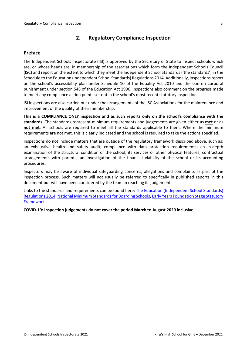# <span id="page-4-0"></span>**2. Regulatory Compliance Inspection**

#### <span id="page-4-1"></span>**Preface**

The Independent Schools Inspectorate (ISI) is approved by the Secretary of State to inspect schools which are, or whose heads are, in membership of the associations which form the Independent Schools Council (ISC) and report on the extent to which they meet the Independent School Standards ('the standards') in the Schedule to the Education (Independent School Standards) Regulations 2014. Additionally, inspectionsreport on the school's accessibility plan under Schedule 10 of the Equality Act 2010 and the ban on corporal punishment under section 548 of the Education Act 1996. Inspections also comment on the progress made to meet any compliance action points set out in the school's most recent statutory inspection.

ISI inspections are also carried out under the arrangements of the ISC Associations for the maintenance and improvement of the quality of their membership.

**This is a COMPLIANCE ONLY inspection and as such reports only on the school's compliance with the standards.** The standards represent minimum requirements and judgements are given either as **met** or as **not met**. All schools are required to meet all the standards applicable to them. Where the minimum requirements are not met, this is clearly indicated and the school is required to take the actions specified.

Inspections do not include matters that are outside of the regulatory framework described above, such as: an exhaustive health and safety audit; compliance with data protection requirements; an in-depth examination of the structural condition of the school, its services or other physical features; contractual arrangements with parents; an investigation of the financial viability of the school or its accounting procedures.

Inspectors may be aware of individual safeguarding concerns, allegations and complaints as part of the inspection process. Such matters will not usually be referred to specifically in published reports in this document but will have been considered by the team in reaching its judgements.

Links to the standards and requirements can be found here: The Education [\(Independent](http://www.legislation.gov.uk/uksi/2014/3283/contents/made) School Standards) [Regulations](http://www.legislation.gov.uk/uksi/2014/3283/contents/made) 2014, National Minimum Standards for Boarding Schools, Early Years [Foundation](https://www.gov.uk/government/publications/early-years-foundation-stage-framework--2) Stage Statutory [Framework.](https://www.gov.uk/government/publications/early-years-foundation-stage-framework--2)

**COVID-19: Inspection judgements do not cover the period March to August 2020 inclusive.**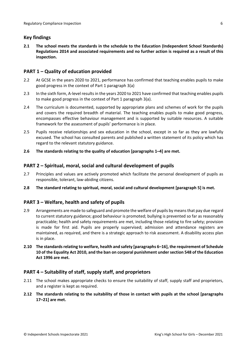## <span id="page-5-0"></span>**Key findings**

**2.1 The school meets the standards in the schedule to the Education (Independent School Standards) Regulations 2014 and associated requirements and no further action is required as a result of this inspection.**

#### <span id="page-5-1"></span>**PART 1 – Quality of education provided**

- 2.2 At GCSE in the years 2020 to 2021, performance has confirmed that teaching enables pupils to make good progress in the context of Part 1 paragraph 3(a)
- 2.3 In the sixth form, A-level resultsin the years 2020 to 2021 have confirmed that teaching enables pupils to make good progress in the context of Part 1 paragraph 3(a).
- 2.4 The curriculum is documented, supported by appropriate plans and schemes of work for the pupils and covers the required breadth of material. The teaching enables pupils to make good progress, encompasses effective behaviour management and is supported by suitable resources. A suitable framework for the assessment of pupils' performance is in place.
- 2.5 Pupils receive relationships and sex education in the school, except in so far as they are lawfully excused. The school has consulted parents and published a written statement of its policy which has regard to the relevant statutory guidance.
- **2.6 The standards relating to the quality of education [paragraphs 1–4] are met.**

### <span id="page-5-2"></span>**PART 2 – Spiritual, moral, social and cultural development of pupils**

- 2.7 Principles and values are actively promoted which facilitate the personal development of pupils as responsible, tolerant, law-abiding citizens.
- **2.8 The standard relating to spiritual, moral, social and cultural development [paragraph 5] is met.**

# <span id="page-5-3"></span>**PART 3 – Welfare, health and safety of pupils**

- 2.9 Arrangements are made to safeguard and promote the welfare of pupils by means that pay due regard to current statutory guidance; good behaviour is promoted; bullying is prevented so far as reasonably practicable; health and safety requirements are met, including those relating to fire safety; provision is made for first aid. Pupils are properly supervised; admission and attendance registers are maintained, as required, and there is a strategic approach to risk assessment. A disability access plan is in place.
- **2.10 The standardsrelating to welfare, health and safety [paragraphs 6–16], the requirement of Schedule 10 of the Equality Act 2010, and the ban on corporal punishment undersection 548 of the Education Act 1996 are met.**

#### <span id="page-5-4"></span>**PART 4 – Suitability of staff, supply staff, and proprietors**

- 2.11 The school makes appropriate checks to ensure the suitability of staff, supply staff and proprietors, and a register is kept as required.
- **2.12 The standards relating to the suitability of those in contact with pupils at the school [paragraphs 17–21] are met.**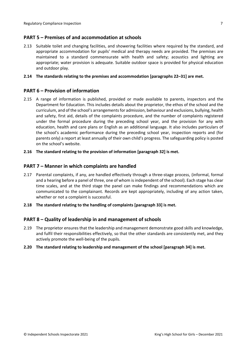#### <span id="page-6-0"></span>**PART 5 – Premises of and accommodation at schools**

2.13 Suitable toilet and changing facilities, and showering facilities where required by the standard, and appropriate accommodation for pupils' medical and therapy needs are provided. The premises are maintained to a standard commensurate with health and safety; acoustics and lighting are appropriate; water provision is adequate. Suitable outdoor space is provided for physical education and outdoor play.

#### **2.14 The standards relating to the premises and accommodation [paragraphs 22–31] are met.**

#### <span id="page-6-1"></span>**PART 6 – Provision of information**

- 2.15 A range of information is published, provided or made available to parents, inspectors and the Department for Education. This includes details about the proprietor, the ethos of the school and the curriculum, and of the school's arrangementsfor admission, behaviour and exclusions, bullying, health and safety, first aid, details of the complaints procedure, and the number of complaints registered under the formal procedure during the preceding school year, and the provision for any with education, health and care plans or English as an additional language. It also includes particulars of the school's academic performance during the preceding school year, inspection reports and (for parents only) a report at least annually of their own child's progress. The safeguarding policy is posted on the school's website.
- **2.16 The standard relating to the provision of information [paragraph 32] is met.**

#### <span id="page-6-2"></span>**PART 7 – Manner in which complaints are handled**

- 2.17 Parental complaints, if any, are handled effectively through a three-stage process, (informal, formal and a hearing before a panel of three, one of whom is independent of the school). Each stage has clear time scales, and at the third stage the panel can make findings and recommendations which are communicated to the complainant. Records are kept appropriately, including of any action taken, whether or not a complaint is successful.
- **2.18 The standard relating to the handling of complaints [paragraph 33] is met.**

#### <span id="page-6-3"></span>**PART 8 – Quality of leadership in and management of schools**

- 2.19 The proprietor ensures that the leadership and management demonstrate good skills and knowledge, and fulfil their responsibilities effectively, so that the other standards are consistently met, and they actively promote the well-being of the pupils.
- **2.20 The standard relating to leadership and management of the school [paragraph 34] is met.**